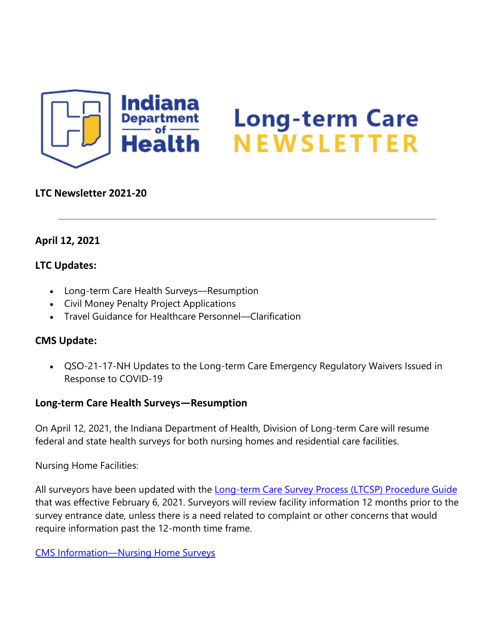

# **Long-term Care<br>NEWSLETTER**

# **LTC Newsletter 2021-20**

# **April 12, 2021**

# **LTC Updates:**

- Long-term Care Health Surveys—Resumption
- Civil Money Penalty Project Applications
- Travel Guidance for Healthcare Personnel—Clarification

# **CMS Update:**

• QSO-21-17-NH Updates to the Long-term Care Emergency Regulatory Waivers Issued in Response to COVID-19

### **Long-term Care Health Surveys—Resumption**

On April 12, 2021, the Indiana Department of Health, Division of Long-term Care will resume federal and state health surveys for both nursing homes and residential care facilities.

Nursing Home Facilities:

All surveyors have been updated with the [Long-term Care Survey Process \(LTCSP\) Procedure Guide](https://lnks.gd/l/eyJhbGciOiJIUzI1NiJ9.eyJidWxsZXRpbl9saW5rX2lkIjoxMDAsInVyaSI6ImJwMjpjbGljayIsImJ1bGxldGluX2lkIjoiMjAyMTA0MTIuMzg2MDQ3NzEiLCJ1cmwiOiJodHRwczovL3d3dy5jbXMuZ292L01lZGljYXJlL1Byb3ZpZGVyLUVucm9sbG1lbnQtYW5kLUNlcnRpZmljYXRpb24vR3VpZGFuY2Vmb3JMYXdzQW5kUmVndWxhdGlvbnMvRG93bmxvYWRzL0xUQ1NQLVByb2NlZHVyZS1HdWlkZS5wZGYifQ.5R2yMv2qvat9QJRNhtrTF1LGzNktmpM_nfMeZUmA_FI/s/1439130268/br/101817773447-l) that was effective February 6, 2021. Surveyors will review facility information 12 months prior to the survey entrance date, unless there is a need related to complaint or other concerns that would require information past the 12-month time frame.

[CMS Information—Nursing Home Surveys](https://lnks.gd/l/eyJhbGciOiJIUzI1NiJ9.eyJidWxsZXRpbl9saW5rX2lkIjoxMDEsInVyaSI6ImJwMjpjbGljayIsImJ1bGxldGluX2lkIjoiMjAyMTA0MTIuMzg2MDQ3NzEiLCJ1cmwiOiJodHRwczovL3d3dy5jbXMuZ292L01lZGljYXJlL1Byb3ZpZGVyLUVucm9sbG1lbnQtYW5kLUNlcnRpZmljYXRpb24vR3VpZGFuY2Vmb3JMYXdzQW5kUmVndWxhdGlvbnMvTnVyc2luZy1Ib21lcyJ9.SFEetXCZxVVX4n1TmBIGxbTz9dLGd419W1Qt6E08bqM/s/1439130268/br/101817773447-l)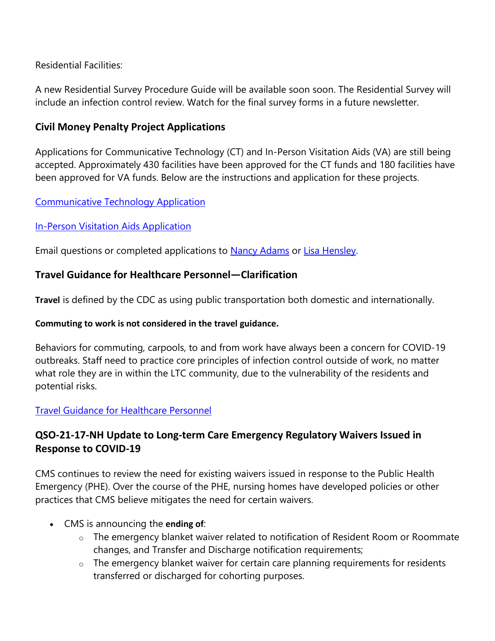Residential Facilities:

A new Residential Survey Procedure Guide will be available soon soon. The Residential Survey will include an infection control review. Watch for the final survey forms in a future newsletter.

# **Civil Money Penalty Project Applications**

Applications for Communicative Technology (CT) and In-Person Visitation Aids (VA) are still being accepted. Approximately 430 facilities have been approved for the CT funds and 180 facilities have been approved for VA funds. Below are the instructions and application for these projects.

### [Communicative Technology Application](https://lnks.gd/l/eyJhbGciOiJIUzI1NiJ9.eyJidWxsZXRpbl9saW5rX2lkIjoxMDIsInVyaSI6ImJwMjpjbGljayIsImJ1bGxldGluX2lkIjoiMjAyMTA0MTIuMzg2MDQ3NzEiLCJ1cmwiOiJodHRwczovL2NvbnRlbnQuZ292ZGVsaXZlcnkuY29tL2F0dGFjaG1lbnRzL0lOU0RILzIwMjEvMDQvMDkvZmlsZV9hdHRhY2htZW50cy8xNzUwMTkxL1VQREFURUQlMjBDT1ZJRC0xOSUyMENUJTIwQXBwbGljYXRpb24ucGRmIn0.2MMgU-M34sPJJ3_OIpeFgzPdamm6hbpkNotPZZTACqQ/s/1439130268/br/101817773447-l)

### [In-Person Visitation Aids Application](https://lnks.gd/l/eyJhbGciOiJIUzI1NiJ9.eyJidWxsZXRpbl9saW5rX2lkIjoxMDMsInVyaSI6ImJwMjpjbGljayIsImJ1bGxldGluX2lkIjoiMjAyMTA0MTIuMzg2MDQ3NzEiLCJ1cmwiOiJodHRwczovL2NvbnRlbnQuZ292ZGVsaXZlcnkuY29tL2F0dGFjaG1lbnRzL0lOU0RILzIwMjEvMDQvMDkvZmlsZV9hdHRhY2htZW50cy8xNzUwMTk1L0NPVklELTE5X0luLVBlcnNvbiUyMFZpc2l0YXRpb24lMjBBcHBsaWNhdGlvbi5wZGYifQ.ZDyqTiGgqdRrZKsiay0v_Iq45Ch2rKk2456OXls-Ngk/s/1439130268/br/101817773447-l)

Email questions or completed applications to [Nancy Adams](mailto:%20nadams1@isdh.in.gov) or [Lisa Hensley.](mailto:%20lhensley@isdh.in.gov)

### **Travel Guidance for Healthcare Personnel—Clarification**

**Travel** is defined by the CDC as using public transportation both domestic and internationally.

### **Commuting to work is not considered in the travel guidance.**

Behaviors for commuting, carpools, to and from work have always been a concern for COVID-19 outbreaks. Staff need to practice core principles of infection control outside of work, no matter what role they are in within the LTC community, due to the vulnerability of the residents and potential risks.

### [Travel Guidance for Healthcare Personnel](https://lnks.gd/l/eyJhbGciOiJIUzI1NiJ9.eyJidWxsZXRpbl9saW5rX2lkIjoxMDQsInVyaSI6ImJwMjpjbGljayIsImJ1bGxldGluX2lkIjoiMjAyMTA0MTIuMzg2MDQ3NzEiLCJ1cmwiOiJodHRwczovL3d3dy5jb3JvbmF2aXJ1cy5pbi5nb3YvZmlsZXMvSU5fQ09WSUQtMTklMjBUcmF2ZWwlMjBHdWlkYW5jZSUyMExUQyUyMDA0LjA3LjIxLnBkZiJ9.gW8NzOyKCWTYedKnAJ1m_FB9NjFBkit6HKnTnHlE8i4/s/1439130268/br/101817773447-l)

# **QSO-21-17-NH Update to Long-term Care Emergency Regulatory Waivers Issued in Response to COVID-19**

CMS continues to review the need for existing waivers issued in response to the Public Health Emergency (PHE). Over the course of the PHE, nursing homes have developed policies or other practices that CMS believe mitigates the need for certain waivers.

- CMS is announcing the **ending of**:
	- o The emergency blanket waiver related to notification of Resident Room or Roommate changes, and Transfer and Discharge notification requirements;
	- $\circ$  The emergency blanket waiver for certain care planning requirements for residents transferred or discharged for cohorting purposes.